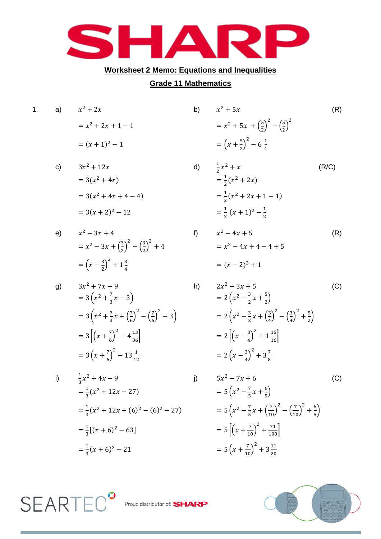

## **Worksheet 2 Memo: Equations and Inequalities**

## **Grade 11 Mathematics**

| 1. | a)           | $x^2+2x$                                                                                  | b) | $x^2+5x$                                                     |
|----|--------------|-------------------------------------------------------------------------------------------|----|--------------------------------------------------------------|
|    |              | $= x^2 + 2x + 1 - 1$                                                                      |    | $= x^{2} + 5x + \left(\frac{5}{2}\right)^{2}$ -              |
|    |              | $=(x+1)^2-1$                                                                              |    | $=\left(x+\frac{5}{2}\right)^2-6\frac{1}{4}$                 |
|    | $\mathsf{c}$ | $3x^2 + 12x$                                                                              |    | d) $\frac{1}{2}x^2 + x$                                      |
|    |              | $= 3(x^2 + 4x)$                                                                           |    | $=\frac{1}{2}(x^2+2x)$                                       |
|    |              | $= 3(x^2 + 4x + 4 - 4)$                                                                   |    | $=\frac{1}{2}(x^2+2x+1-1)$                                   |
|    |              | $= 3(x + 2)^{2} - 12$                                                                     |    | $=\frac{1}{2}(x+1)^2-\frac{1}{2}$                            |
|    | e)           | $x^2 - 3x + 4$                                                                            | f) | $x^2 - 4x + 5$                                               |
|    |              | $= x^{2} - 3x + \left(\frac{3}{2}\right)^{2} - \left(\frac{3}{2}\right)^{2} + 4$          |    | $= x^2 - 4x + 4 - 4 +$                                       |
|    |              | $=\left(x-\frac{3}{2}\right)^2+1\frac{3}{4}$                                              |    | $=(x-2)^2+1$                                                 |
|    | g)           | $3x^2 + 7x - 9$                                                                           | h) | $2x^2 - 3x + 5$                                              |
|    |              | $=3(x^2+\frac{7}{2}x-3)$                                                                  |    | $=2\left(x^2-\frac{3}{2}x+\frac{5}{2}\right)$                |
|    |              | $=3\left(x^2+\frac{7}{3}x+\left(\frac{7}{6}\right)^2-\left(\frac{7}{6}\right)^2-3\right)$ |    | $=2\left(x^2-\frac{3}{2}x+\left(\frac{3}{4}\right)^2\right)$ |
|    |              | = 3 $\left[\left(x+\frac{7}{6}\right)^2-4\frac{13}{36}\right]$                            |    | $=2\left[\left(x-\frac{3}{4}\right)^2+1\frac{15}{16}\right]$ |
|    |              | $=3\left(x+\frac{7}{6}\right)^2-13\frac{1}{12}$                                           |    | $=2\left(x-\frac{3}{4}\right)^2+3\frac{7}{8}$                |
|    |              | i) $\frac{1}{2}x^2 + 4x - 9$                                                              |    | j) $5x^2 - 7x + 6$                                           |

$$
\frac{1}{3}x^2 + 4x - 9
$$
  
\n
$$
= \frac{1}{3}(x^2 + 12x - 27)
$$
  
\n
$$
= \frac{1}{3}(x^2 + 12x + (6)^2 - (6)^2 - 27)
$$
  
\n
$$
= \frac{1}{3}[(x + 6)^2 - 63]
$$
  
\n
$$
= \frac{1}{3}(x + 6)^2 - 21
$$
  
\n
$$
= 5 \left[ (x + 6)^2 - 21 \right]
$$
  
\n
$$
= 5 \left[ (x + 6)^2 - 21 \right]
$$
  
\n
$$
= 5 (x + 6)^2 - 21
$$
  
\n
$$
= 5 (x + 6)^2 - 21
$$

**SEARTEC<sup>®</sup>** 

$$
x^{2} + 5x
$$
\n
$$
= x^{2} + 5x + \left(\frac{5}{2}\right)^{2} - \left(\frac{5}{2}\right)^{2}
$$
\n
$$
= \left(x + \frac{5}{2}\right)^{2} - 6\frac{1}{4}
$$
\n(R)

1)  
\n
$$
\frac{1}{2}x^2 + x
$$
\n
$$
= \frac{1}{2}(x^2 + 2x)
$$
\n
$$
= \frac{1}{2}(x^2 + 2x + 1 - 1)
$$
\n
$$
= \frac{1}{2}(x + 1)^2 - \frac{1}{2}
$$
\n
$$
x^2 - 4x + 5
$$
\n
$$
= x^2 - 4x + 4 - 4 + 5
$$
\n(R)

$$
2x^{2} - 3x + 5
$$
\n
$$
= 2\left(x^{2} - \frac{3}{2}x + \frac{5}{2}\right)
$$
\n
$$
= 2\left(x^{2} - \frac{3}{2}x + \left(\frac{3}{4}\right)^{2} - \left(\frac{3}{4}\right)^{2} + \frac{5}{2}\right)
$$
\n
$$
= 2\left[\left(x - \frac{3}{4}\right)^{2} + 1\frac{15}{16}\right]
$$
\n
$$
= 2\left(x - \frac{3}{4}\right)^{2} + 3\frac{7}{8}
$$
\n(C)

j) 
$$
5x^2 - 7x + 6
$$
 (C)  
\n
$$
= 5\left(x^2 - \frac{7}{5}x + \frac{6}{5}\right)
$$
\n
$$
= 5\left(x^2 - \frac{7}{5}x + \left(\frac{7}{10}\right)^2 - \left(\frac{7}{10}\right)^2 + \frac{6}{5}\right)
$$
\n
$$
= 5\left[\left(x + \frac{7}{10}\right)^2 + \frac{71}{100}\right]
$$
\n
$$
= 5\left(x + \frac{7}{10}\right)^2 + 3\frac{11}{20}
$$



Proud distributor of: SHARP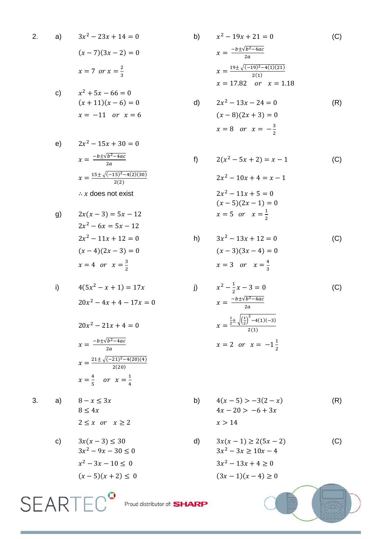2. a) 
$$
3x^2 - 23x + 14 = 0
$$
  
\n $(x - 7)(3x - 2) = 0$   
\n $x = 7 \text{ or } x = \frac{2}{3}$ 

c) 
$$
x^2 + 5x - 66 = 0
$$

$$
(x + 11)(x - 6) = 0
$$

$$
x = -11 \text{ or } x = 6
$$

e) 
$$
2x^{2} - 15x + 30 = 0
$$

$$
x = \frac{-b \pm \sqrt{b^{2} - 4ac}}{2a}
$$

$$
x = \frac{15 \pm \sqrt{(-15)^{2} - 4(2)(30)}}{2(2)}
$$

$$
\therefore x \text{ does not exist}
$$

g) 
$$
2x(x-3) = 5x - 12
$$

$$
2x^2 - 6x = 5x - 12
$$

$$
2x^2 - 11x + 12 = 0
$$

$$
(x - 4)(2x - 3) = 0
$$

$$
x = 4 \text{ or } x = \frac{3}{2}
$$

i) 
$$
4(5x^2 - x + 1) = 17x
$$

$$
20x^2 - 4x + 4 - 17x = 0
$$

$$
20x^{2} - 21x + 4 = 0
$$

$$
x = \frac{-b \pm \sqrt{b^{2} - 4ac}}{2a}
$$

$$
x = \frac{21 \pm \sqrt{(-21)^{2} - 4(20)(4)}}{2(20)}
$$

$$
x = \frac{4}{5} \quad or \quad x = \frac{1}{4}
$$

 $\mathbf{2}$ 

 $3.$ 

a) 
$$
8 - x \le 3x
$$

$$
8 \le 4x
$$

$$
2 \le x \text{ or } x \ge
$$

c) 
$$
3x(x-3) \le 30
$$
  
\n $3x^2 - 9x - 30 \le 0$   
\n $x^2 - 3x - 10 \le 0$   
\n $(x-5)(x+2) \le 0$ 

b)  $x^2 - 19x + 21 = 0$  $(C)$  $x = \frac{-b \pm \sqrt{b^2 - 4ac}}{2a}$  $x = \frac{19 \pm \sqrt{(-19)^2 - 4(1)(21)}}{2(1)}$  $x = 17.82$  or  $x = 1.18$  $2x^2 - 13x - 24 = 0$  $\mathsf{d}$  $(R)$  $(x-8)(2x+3) = 0$  $x = 8$  or  $x = -\frac{3}{2}$ 

f) 
$$
2(x^{2} - 5x + 2) = x - 1
$$
 (C)  

$$
2x^{2} - 10x + 4 = x - 1
$$
  

$$
2x^{2} - 11x + 5 = 0
$$
  

$$
(x - 5)(2x - 1) = 0
$$
  

$$
x = 5 \text{ or } x = \frac{1}{2}
$$

h) 
$$
3x^2 - 13x + 12 = 0
$$
 (C)  
\n $(x-3)(3x-4) = 0$   
\n $x = 3$  or  $x = \frac{4}{3}$ 

$$
x^{2} - \frac{1}{2}x - 3 = 0
$$
 (C)  

$$
x = \frac{-b \pm \sqrt{b^{2} - 4ac}}{2a}
$$
  

$$
x = \frac{\frac{1}{2} \pm \sqrt{\left(\frac{1}{2}\right)^{2} - 4(1)(-3)}}{2(1)}
$$
  

$$
x = 2 \text{ or } x = -1\frac{1}{2}
$$

b) 
$$
4(x-5) > -3(2-x)
$$
 (R)  
\n $4x - 20 > -6 + 3x$   
\n $x > 14$ 

d) 
$$
3x(x-1) \ge 2(5x-2)
$$
 (C)  
\n $3x^2 - 3x \ge 10x - 4$   
\n $3x^2 - 13x + 4 \ge 0$   
\n $(3x-1)(x-4) \ge 0$ 

SEARTEC<sup>9</sup> Proud distributor of: SHARP

 $j)$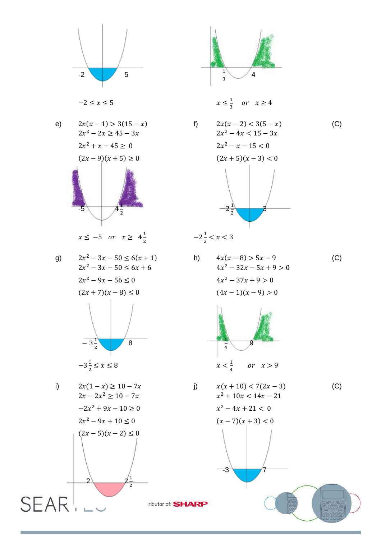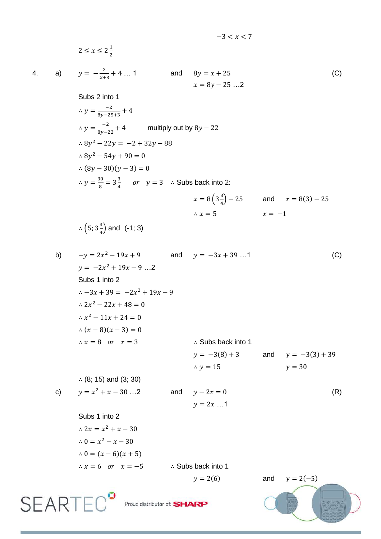$-3 < x < 7$ 

 $2 \leq x \leq 2\frac{1}{2}$  $\overline{\mathbf{c}}$ 

 $4.$ 

a) 
$$
y = -\frac{2}{x+3} + 4 ... 1
$$
 and  $8y = x + 25$   
 $x = 8y - 25 ... 2$  (C)  
Subs 2 into 1

$$
\therefore y = \frac{-2}{8y - 25 + 3} + 4
$$
  
\n
$$
\therefore y = \frac{-2}{8y - 22} + 4
$$
 multiply out by 8y - 22  
\n
$$
\therefore 8y^2 - 22y = -2 + 32y - 88
$$
  
\n
$$
\therefore 8y^2 - 54y + 90 = 0
$$
  
\n
$$
\therefore (8y - 30)(y - 3) = 0
$$
  
\n
$$
\therefore y = \frac{30}{8} = 3\frac{3}{4}
$$
 or  $y = 3$   $\therefore$  Subs back into 2:  
\n
$$
x = 8(3\frac{3}{4}) - 25
$$
 and  $x = 8(3) - 25$   
\n
$$
\therefore x = 5
$$
  $x = -1$   
\n
$$
\therefore (5; 3\frac{3}{4})
$$
 and (-1; 3)

b) 
$$
-y = 2x^2 - 19x + 9
$$
 and  $y = -3x + 39...1$  (C)  
\n $y = -2x^2 + 19x - 9...2$   
\nSubs 1 into 2  
\n $\therefore -3x + 39 = -2x^2 + 19x - 9$   
\n $\therefore 2x^2 - 22x + 48 = 0$   
\n $\therefore x^2 - 11x + 24 = 0$   
\n $\therefore (x - 8)(x - 3) = 0$   
\n $\therefore x = 8$  or  $x = 3$   
\n $\therefore x = 8$  or  $x = 3$   
\n $\therefore (8; 15) \text{ and } (3; 30)$   
\nc)  $y = x^2 + x - 30 ...2$  and  $y = -2x = 0$   
\n $y = 2x ... 1$   
\nSubs 1 into 2  
\n $\therefore 2x = x^2 + x - 30$   
\n $\therefore 0 = x^2 - x - 30$   
\n $\therefore 0 = (x - 6)(x + 5)$   
\n $\therefore x = 6$  or  $x = -5$   
\n $\therefore$  Subs back into 1  
\n $y = 2(6)$  and  $y = 2(-5)$ 

 $\mathsf{SEARTEC}^{\bullet}$  Proud distributor of: SHARP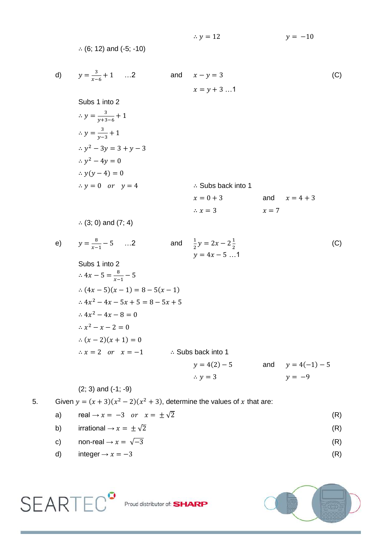$$
\therefore (6; 12) \text{ and } (-5; -10)
$$
\n
$$
y = \frac{3}{x-6} + 1 \quad \dots 2 \qquad \text{and} \qquad x - y = 3
$$
\n
$$
x = y + 3 \dots 1
$$
\nSubs 1 into 2\n
$$
\therefore y = \frac{3}{y+3-6} + 1
$$
\n
$$
\therefore y = \frac{3}{y-3} + 1
$$
\n
$$
\therefore y^2 - 3y = 3 + y - 3
$$
\n
$$
\therefore y^2 - 4y = 0
$$
\n
$$
\therefore y(y - 4) = 0
$$
\n
$$
\therefore y = 0 \text{ or } y = 4
$$
\n
$$
\therefore y = 0 \text{ or } y = 4
$$
\n
$$
\therefore (3; 0) \text{ and } (7; 4)
$$
\n
$$
y = \frac{8}{x-1} - 5 \quad \dots 2 \qquad \text{and} \qquad \frac{1}{2}y = 2x - 2\frac{1}{2}
$$
\n
$$
y = 4x - 5 \dots 1
$$
\nSubs 1 into 2\n
$$
\therefore 4x - 5 = \frac{8}{x-1} - 5
$$
\n
$$
\therefore (4x - 5)(x - 1) = 8 - 5(x - 1)
$$
\n
$$
\therefore 4x^2 - 4x - 5x + 5 = 8 - 5x + 5
$$
\n
$$
\therefore 4x^2 - 4x - 8 = 0
$$
\n
$$
\therefore x^2 - x - 2 = 0
$$
\n
$$
\therefore (x - 2)(x + 1) = 0
$$
\n
$$
\therefore x = 2 \text{ or } x = -1
$$
\nSubs back into 1\n
$$
y = 4(2) - 5 \qquad \text{and} \qquad y = 4(-1) - 5
$$
\n
$$
\therefore y = 3
$$
\n
$$
y = -9
$$
\n
$$
(2; 3) \text{ and } (-1; -9)
$$

 $\therefore$  y = 12

 $y = -10$ 

5. Given  $y = (x + 3)(x^2 - 2)(x^2 + 3)$ , determine the values of x that are:

- a) real  $\rightarrow x = -3$  or  $x = \pm \sqrt{2}$  (R)
- b) irrational  $\rightarrow x = \pm \sqrt{2}$  (R)
- c) non-real  $\rightarrow x = \sqrt{-3}$  (R)
- d) integer  $\rightarrow x = -3$  (R)



 $\mathsf{SEARTEC}^{\bullet}$  Proud distributor of: SHARP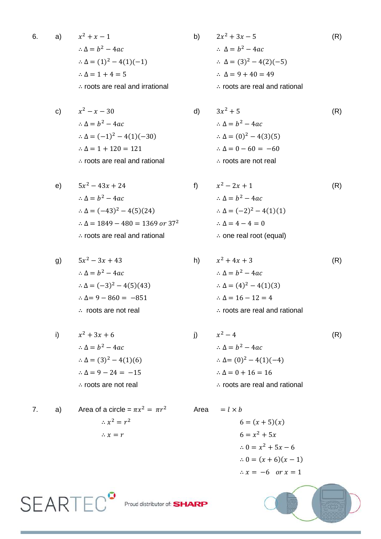6. a) 
$$
x^2 + x - 1
$$
  
\n $\therefore \Delta = b^2 - 4ac$   
\n $\therefore \Delta = (1)^2 - 4(1)(-1)$   
\n $\therefore \Delta = 1 + 4 = 5$   
\n $\therefore$  roots are real and irrational  
\n $\therefore$  roots are real.

c)  
\n
$$
x^2 - x - 30
$$
  
\n $\therefore \Delta = b^2 - 4ac$   
\n $\therefore \Delta = (-1)^2 - 4(1)(-30)$   
\n $\therefore \Delta = 1 + 120 = 121$   
\n $\therefore$  roots are real and rational  
\n $\therefore$  roots are real and rational  
\n $\therefore$  roots are not real

e) 
$$
5x^2 - 43x + 24
$$
  
\n $\therefore \Delta = b^2 - 4ac$   
\n $\therefore \Delta = (-43)^2 - 4(5)(24)$   
\n $\therefore \Delta = 1849 - 480 = 1369 \text{ or } 37^2$   
\n $\therefore \text{ roots are real and rational}$   
\n $\therefore$ 

g) 
$$
5x^2 - 3x + 43
$$
  
\n $\therefore \Delta = b^2 - 4ac$   
\n $\therefore \Delta = (-3)^2 - 4(5)(43)$   
\n $\therefore \Delta = 9 - 860 = -851$   
\n $\therefore$  roots are not real  
\n $\therefore$  roots are not real  
\n $\therefore$  roots are not real

i) 
$$
x^2 + 3x + 6
$$
  
\n $\therefore \Delta = b^2 - 4ac$   
\n $\therefore \Delta = (3)^2 - 4(1)(6)$   
\n $\therefore \Delta = 9 - 24 = -15$   
\n∴ roots are not real  
\n∴

7. a) Area of a circle =  $\pi x^2$  $\therefore x^2 = r^2$  $\therefore$   $x=r$ 

$$
2x2 + 3x - 5
$$
 (R)  
\n
$$
\therefore \Delta = b2 - 4ac
$$
  
\n
$$
\therefore \Delta = (3)2 - 4(2)(-5)
$$
  
\n
$$
\therefore \Delta = 9 + 40 = 49
$$
  
\n
$$
\therefore \text{ roots are real and rational}
$$

$$
3x2 + 5
$$
 (R)  
\n∴ Δ = b<sup>2</sup> - 4ac  
\n∴ Δ = (0)<sup>2</sup> - 4(3)(5)  
\n∴ Δ = 0 - 60 = -60  
\n∴ roots are not real

 $x^2 - 2x + 1$  (R)  $\therefore \Delta = b^2 - 4ac$  $x^2 - 4(5)(24)$   $\therefore \Delta = (-2)^2 - 4(1)(1)$  $\therefore \Delta = 4 - 4 = 0$  $\therefore$  one real root (equal)

$$
5x2-3x + 43
$$
  
\n
$$
\therefore \Delta = b2 - 4ac
$$
  
\n
$$
\therefore \Delta = (-3)2 - 4(5)(43)
$$
  
\n
$$
\therefore \Delta = 9 - 860 = -851
$$
  
\n
$$
\therefore \Delta = 16 - 12 = 4
$$
  
\n
$$
\therefore \text{ roots are not real}
$$
  
\n
$$
\therefore \Delta = 16 - 12 = 4
$$
  
\n
$$
\therefore \text{ roots are real and rational}
$$

$$
x^{2} + 3x + 6
$$
  
\n
$$
\therefore \Delta = b^{2} - 4ac
$$
  
\n
$$
\therefore \Delta = (3)^{2} - 4(1)(6)
$$
  
\n
$$
\therefore \Delta = 9 - 24 = -15
$$
  
\n
$$
\therefore \text{ roots are not real}
$$
  
\n
$$
\therefore \text{ roots are not real}
$$
  
\n
$$
\therefore \text{ roots are not real}
$$
  
\n
$$
\therefore \text{ roots are not real}
$$
  
\n
$$
\therefore \text{ roots are real and rational}
$$
  
\n
$$
\therefore \text{ roots are real and rational}
$$

Area 
$$
= l \times b
$$
  
\n $6 = (x + 5)(x)$   
\n $6 = x^2 + 5x$   
\n $\therefore 0 = x^2 + 5x - 6$   
\n $\therefore 0 = (x + 6)(x - 1)$   
\n $\therefore x = -6 \text{ or } x = 1$ 



SEARTEC<sup>o</sup> Proud distributor of: SHARP